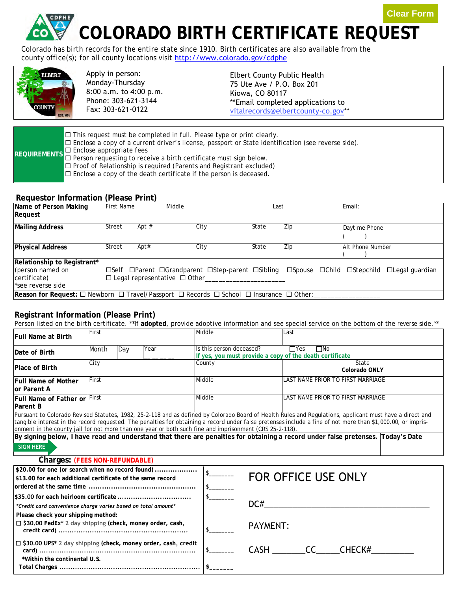**Clear Form**

# **COLORADO BIRTH CERTIFICATE REQUEST**

Colorado has birth records for the entire state since 1910. Birth certificates are also available from the [county office\(s\);](http://www.colorado.gov/cdphe) for all county locations visit http://www.colorado.gov/cdphe



Apply in person: Monday-Thursday 8:00 a.m. to 4:00 p.m. Phone: 303-621-3144 Fax: [303-621](http://www.vitalchek.com/)-0122

Elbert County Public Health 75 Ute Ave / P.O. Box 201 Kiowa, CO 80117 \*\*Email completed [applications](mailto:vital.records@state.co.us) to vitalrecords@elbertcounty-co.gov\*\*

|  | $\Box$ This request must be completed in full. Please type or print clearly.<br>□ Enclose a copy of a current driver's license, passport or State identification (see reverse side).<br>REQUIREMENTS D Enclose appropriate fees<br>REQUIREMENTS D Person requesting to receive a birth certificate must sign below.<br>$\Box$ Proof of Relationship is required (Parents and Registrant excluded)<br>$\Box$ Enclose a copy of the death certificate if the person is deceased. |
|--|--------------------------------------------------------------------------------------------------------------------------------------------------------------------------------------------------------------------------------------------------------------------------------------------------------------------------------------------------------------------------------------------------------------------------------------------------------------------------------|
|--|--------------------------------------------------------------------------------------------------------------------------------------------------------------------------------------------------------------------------------------------------------------------------------------------------------------------------------------------------------------------------------------------------------------------------------------------------------------------------------|

#### **Requestor Information (Please Print)**

| Name of Person Making<br>Request                                                                                             | <b>First Name</b> |         | Middle                                                                                                                                 | Last  |     | Email:           |  |
|------------------------------------------------------------------------------------------------------------------------------|-------------------|---------|----------------------------------------------------------------------------------------------------------------------------------------|-------|-----|------------------|--|
| <b>Mailing Address</b>                                                                                                       | Street            | Apt $#$ | City                                                                                                                                   | State | Zip | Daytime Phone    |  |
| <b>Physical Address</b>                                                                                                      | Street            | Apt#    | City                                                                                                                                   | State | Zip | Alt Phone Number |  |
| Relationship to Registrant*<br>(person named on<br>certificate)<br>see reverse side                                          |                   |         | □Self □Parent □Grandparent □Step-parent □Sibling □Spouse □Child □Stepchild □Legal guardian<br>$\Box$ Legal representative $\Box$ Other |       |     |                  |  |
| <b>Reason for Request:</b> $\Box$ Newborn $\Box$ Travel/Passport $\Box$ Records $\Box$ School $\Box$ Insurance $\Box$ Other: |                   |         |                                                                                                                                        |       |     |                  |  |

## **Registrant Information (Please Print)**

Person listed on the birth certificate. \*\*If **adopted**, provide adoptive information and see special service on the bottom of the reverse side.\*\*

| <b>Full Name at Birth</b>                                                                                                                                                                                                                                                                                                                                                                                                                                                                                                                                                                   | First |     |                        | Middle                   |                     | Last                                                                                   |                |  |
|---------------------------------------------------------------------------------------------------------------------------------------------------------------------------------------------------------------------------------------------------------------------------------------------------------------------------------------------------------------------------------------------------------------------------------------------------------------------------------------------------------------------------------------------------------------------------------------------|-------|-----|------------------------|--------------------------|---------------------|----------------------------------------------------------------------------------------|----------------|--|
| Date of Birth                                                                                                                                                                                                                                                                                                                                                                                                                                                                                                                                                                               | Month | Day | Year                   | Is this person deceased? |                     | $\Box$ Yes<br>$\square$ No<br>If yes, you must provide a copy of the death certificate |                |  |
| <b>Place of Birth</b>                                                                                                                                                                                                                                                                                                                                                                                                                                                                                                                                                                       | City  |     |                        | County                   |                     | State<br>Colorado ONLY                                                                 |                |  |
| <b>Full Name of Mother</b><br>lor Parent A                                                                                                                                                                                                                                                                                                                                                                                                                                                                                                                                                  | First |     |                        | Middle                   |                     | LAST NAME PRIOR TO FIRST MARRIAGE                                                      |                |  |
| Full Name of Father or First<br><b>Parent B</b>                                                                                                                                                                                                                                                                                                                                                                                                                                                                                                                                             |       |     |                        | Middle                   |                     | LAST NAME PRIOR TO FIRST MARRIAGE                                                      |                |  |
| Pursuant to Colorado Revised Statutes, 1982, 25-2-118 and as defined by Colorado Board of Health Rules and Regulations, applicant must have a direct and<br>tangible interest in the record requested. The penalties for obtaining a record under false pretenses include a fine of not more than \$1,000.00, or impris-<br>onment in the county jail for not more than one year or both such fine and imprisonment (CRS 25-2-118).<br>By signing below, I have read and understand that there are penalties for obtaining a record under false pretenses. Today's Date<br><b>SIGN HERE</b> |       |     |                        |                          |                     |                                                                                        |                |  |
| <b>Charges: (FEES NON-REFUNDABLE)</b>                                                                                                                                                                                                                                                                                                                                                                                                                                                                                                                                                       |       |     |                        |                          |                     |                                                                                        |                |  |
| \$20.00 for one (or search when no record found)<br>\$13.00 for each additional certificate of the same record                                                                                                                                                                                                                                                                                                                                                                                                                                                                              |       |     |                        |                          | FOR OFFICE USE ONLY |                                                                                        |                |  |
| *Credit card convenience charge varies based on total amount*<br>Please check your shipping method:<br>□ \$30.00 FedEx* 2 day shipping (check, money order, cash,                                                                                                                                                                                                                                                                                                                                                                                                                           |       |     | DC#<br><b>PAYMENT:</b> |                          |                     |                                                                                        |                |  |
| $\Box$ \$30.00 UPS* 2 day shipping (check, money order, cash, credit<br>*Within the continental U.S.                                                                                                                                                                                                                                                                                                                                                                                                                                                                                        |       |     |                        |                          |                     |                                                                                        | CASH CC CHECK# |  |